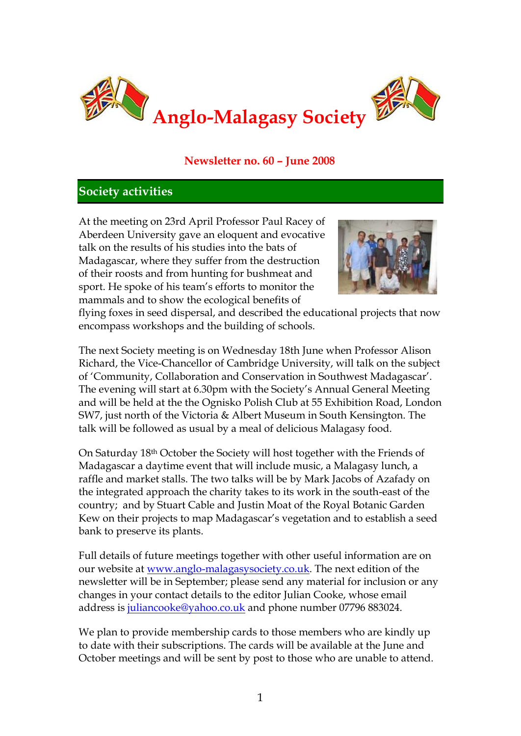

## **Newsletter no. 60 – June 2008**

### **Society activities**

At the meeting on 23rd April Professor Paul Racey of Aberdeen University gave an eloquent and evocative talk on the results of his studies into the bats of Madagascar, where they suffer from the destruction of their roosts and from hunting for bushmeat and sport. He spoke of his team's efforts to monitor the mammals and to show the ecological benefits of



flying foxes in seed dispersal, and described the educational projects that now encompass workshops and the building of schools.

The next Society meeting is on Wednesday 18th June when Professor Alison Richard, the Vice-Chancellor of Cambridge University, will talk on the subject of 'Community, Collaboration and Conservation in Southwest Madagascar'. The evening will start at 6.30pm with the Society's Annual General Meeting and will be held at the the Ognisko Polish Club at 55 Exhibition Road, London SW7, just north of the Victoria & Albert Museum in South Kensington. The talk will be followed as usual by a meal of delicious Malagasy food.

On Saturday 18th October the Society will host together with the Friends of Madagascar a daytime event that will include music, a Malagasy lunch, a raffle and market stalls. The two talks will be by Mark Jacobs of Azafady on the integrated approach the charity takes to its work in the south-east of the country; and by Stuart Cable and Justin Moat of the Royal Botanic Garden Kew on their projects to map Madagascar's vegetation and to establish a seed bank to preserve its plants.

Full details of future meetings together with other useful information are on our website at [www.anglo-malagasysociety.co.uk.](http://www.anglo-malagasysociety.co.uk/) The next edition of the newsletter will be in September; please send any material for inclusion or any changes in your contact details to the editor Julian Cooke, whose email address is [juliancooke@yahoo.co.uk](mailto:juliancooke@yahoo.co.uk) and phone number 07796 883024.

We plan to provide membership cards to those members who are kindly up to date with their subscriptions. The cards will be available at the June and October meetings and will be sent by post to those who are unable to attend.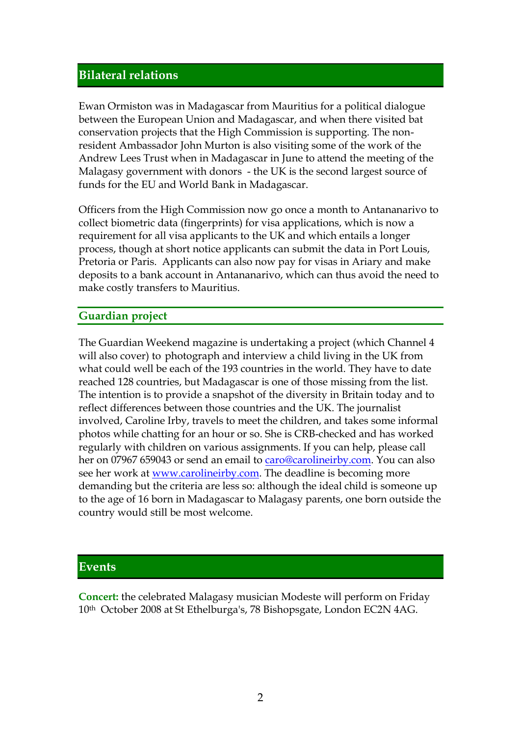### **Bilateral relations**

Ewan Ormiston was in Madagascar from Mauritius for a political dialogue between the European Union and Madagascar, and when there visited bat conservation projects that the High Commission is supporting. The nonresident Ambassador John Murton is also visiting some of the work of the Andrew Lees Trust when in Madagascar in June to attend the meeting of the Malagasy government with donors - the UK is the second largest source of funds for the EU and World Bank in Madagascar.

Officers from the High Commission now go once a month to Antananarivo to collect biometric data (fingerprints) for visa applications, which is now a requirement for all visa applicants to the UK and which entails a longer process, though at short notice applicants can submit the data in Port Louis, Pretoria or Paris. Applicants can also now pay for visas in Ariary and make deposits to a bank account in Antananarivo, which can thus avoid the need to make costly transfers to Mauritius.

### **Guardian project**

The Guardian Weekend magazine is undertaking a project (which Channel 4 will also cover) to photograph and interview a child living in the UK from what could well be each of the 193 countries in the world. They have to date reached 128 countries, but Madagascar is one of those missing from the list. The intention is to provide a snapshot of the diversity in Britain today and to reflect differences between those countries and the UK. The journalist involved, Caroline Irby, travels to meet the children, and takes some informal photos while chatting for an hour or so. She is CRB-checked and has worked regularly with children on various assignments. If you can help, please call her on 07967 659043 or send an email to [caro@carolineirby.com.](mailto:caro@carolineirby.com) You can also see her work at [www.carolineirby.com.](http://www.carolineirby.com/) The deadline is becoming more demanding but the criteria are less so: although the ideal child is someone up to the age of 16 born in Madagascar to Malagasy parents, one born outside the country would still be most welcome.

### **Events**

**Concert:** the celebrated Malagasy musician Modeste will perform on Friday 10th October 2008 at St Ethelburga's, 78 Bishopsgate, London EC2N 4AG.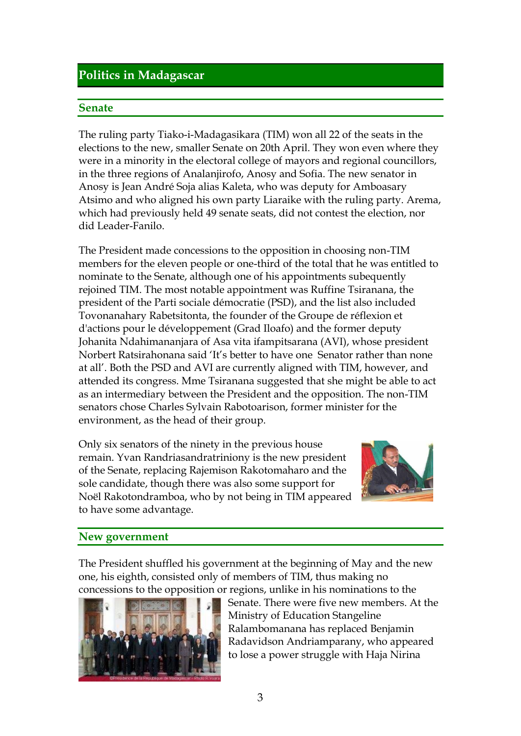# **Politics in Madagascar**

#### **Senate**

The ruling party Tiako-i-Madagasikara (TIM) won all 22 of the seats in the elections to the new, smaller Senate on 20th April. They won even where they were in a minority in the electoral college of mayors and regional councillors, in the three regions of Analanjirofo, Anosy and Sofia. The new senator in Anosy is Jean André Soja alias Kaleta, who was deputy for Amboasary Atsimo and who aligned his own party Liaraike with the ruling party. Arema, which had previously held 49 senate seats, did not contest the election, nor did Leader-Fanilo.

The President made concessions to the opposition in choosing non-TIM members for the eleven people or one-third of the total that he was entitled to nominate to the Senate, although one of his appointments subequently rejoined TIM. The most notable appointment was Ruffine Tsiranana, the president of the Parti sociale démocratie (PSD), and the list also included Tovonanahary Rabetsitonta, the founder of the Groupe de réflexion et d'actions pour le développement (Grad Iloafo) and the former deputy Johanita Ndahimananjara of Asa vita ifampitsarana (AVI), whose president Norbert Ratsirahonana said 'It's better to have one Senator rather than none at all'. Both the PSD and AVI are currently aligned with TIM, however, and attended its congress. Mme Tsiranana suggested that she might be able to act as an intermediary between the President and the opposition. The non-TIM senators chose Charles Sylvain Rabotoarison, former minister for the environment, as the head of their group.

Only six senators of the ninety in the previous house remain. Yvan Randriasandratriniony is the new president of the Senate, replacing Rajemison Rakotomaharo and the sole candidate, though there was also some support for Noël Rakotondramboa, who by not being in TIM appeared to have some advantage.



#### **New government**

The President shuffled his government at the beginning of May and the new one, his eighth, consisted only of members of TIM, thus making no concessions to the opposition or regions, unlike in his nominations to the



Senate. There were five new members. At the Ministry of Education Stangeline Ralambomanana has replaced Benjamin Radavidson Andriamparany, who appeared to lose a power struggle with Haja Nirina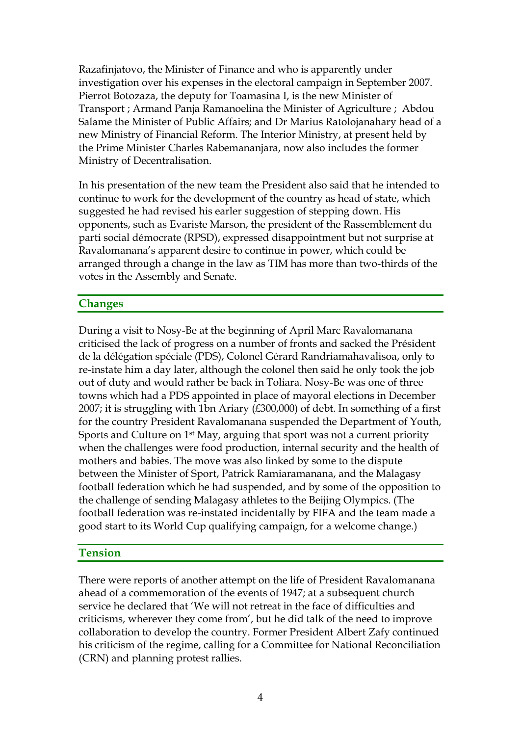Razafinjatovo, the Minister of Finance and who is apparently under investigation over his expenses in the electoral campaign in September 2007. Pierrot Botozaza, the deputy for Toamasina I, is the new Minister of Transport ; Armand Panja Ramanoelina the Minister of Agriculture ; Abdou Salame the Minister of Public Affairs; and Dr Marius Ratolojanahary head of a new Ministry of Financial Reform. The Interior Ministry, at present held by the Prime Minister Charles Rabemananjara, now also includes the former Ministry of Decentralisation.

In his presentation of the new team the President also said that he intended to continue to work for the development of the country as head of state, which suggested he had revised his earler suggestion of stepping down. His opponents, such as Evariste Marson, the president of the Rassemblement du parti social démocrate (RPSD), expressed disappointment but not surprise at Ravalomanana's apparent desire to continue in power, which could be arranged through a change in the law as TIM has more than two-thirds of the votes in the Assembly and Senate.

### **Changes**

During a visit to Nosy-Be at the beginning of April Marc Ravalomanana criticised the lack of progress on a number of fronts and sacked the Président de la délégation spéciale (PDS), Colonel Gérard Randriamahavalisoa, only to re-instate him a day later, although the colonel then said he only took the job out of duty and would rather be back in Toliara. Nosy-Be was one of three towns which had a PDS appointed in place of mayoral elections in December 2007; it is struggling with 1bn Ariary (£300,000) of debt. In something of a first for the country President Ravalomanana suspended the Department of Youth, Sports and Culture on 1st May, arguing that sport was not a current priority when the challenges were food production, internal security and the health of mothers and babies. The move was also linked by some to the dispute between the Minister of Sport, Patrick Ramiaramanana, and the Malagasy football federation which he had suspended, and by some of the opposition to the challenge of sending Malagasy athletes to the Beijing Olympics. (The football federation was re-instated incidentally by FIFA and the team made a good start to its World Cup qualifying campaign, for a welcome change.)

#### **Tension**

There were reports of another attempt on the life of President Ravalomanana ahead of a commemoration of the events of 1947; at a subsequent church service he declared that 'We will not retreat in the face of difficulties and criticisms, wherever they come from', but he did talk of the need to improve collaboration to develop the country. Former President Albert Zafy continued his criticism of the regime, calling for a Committee for National Reconciliation (CRN) and planning protest rallies.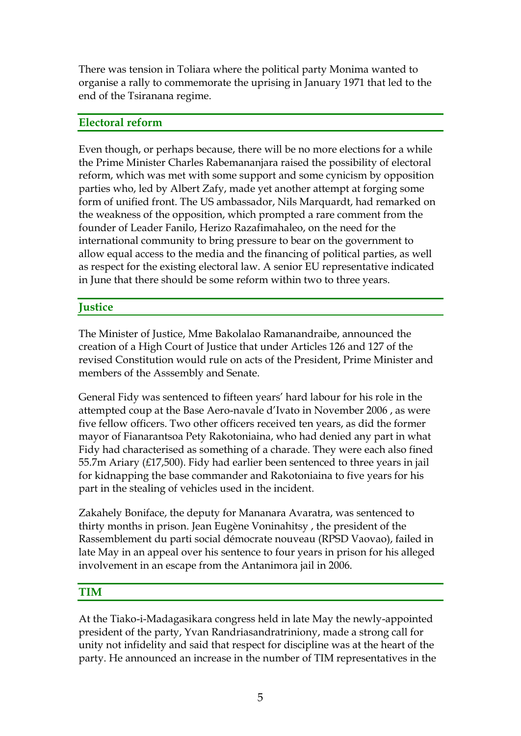There was tension in Toliara where the political party Monima wanted to organise a rally to commemorate the uprising in January 1971 that led to the end of the Tsiranana regime.

### **Electoral reform**

Even though, or perhaps because, there will be no more elections for a while the Prime Minister Charles Rabemananjara raised the possibility of electoral reform, which was met with some support and some cynicism by opposition parties who, led by Albert Zafy, made yet another attempt at forging some form of unified front. The US ambassador, Nils Marquardt, had remarked on the weakness of the opposition, which prompted a rare comment from the founder of Leader Fanilo, Herizo Razafimahaleo, on the need for the international community to bring pressure to bear on the government to allow equal access to the media and the financing of political parties, as well as respect for the existing electoral law. A senior EU representative indicated in June that there should be some reform within two to three years.

# **Justice**

The Minister of Justice, Mme Bakolalao Ramanandraibe, announced the creation of a High Court of Justice that under Articles 126 and 127 of the revised Constitution would rule on acts of the President, Prime Minister and members of the Asssembly and Senate.

General Fidy was sentenced to fifteen years' hard labour for his role in the attempted coup at the Base Aero-navale d'Ivato in November 2006 , as were five fellow officers. Two other officers received ten years, as did the former mayor of Fianarantsoa Pety Rakotoniaina, who had denied any part in what Fidy had characterised as something of a charade. They were each also fined 55.7m Ariary (£17,500). Fidy had earlier been sentenced to three years in jail for kidnapping the base commander and Rakotoniaina to five years for his part in the stealing of vehicles used in the incident.

Zakahely Boniface, the deputy for Mananara Avaratra, was sentenced to thirty months in prison. Jean Eugène Voninahitsy , the president of the Rassemblement du parti social démocrate nouveau (RPSD Vaovao), failed in late May in an appeal over his sentence to four years in prison for his alleged involvement in an escape from the Antanimora jail in 2006.

## **TIM**

At the Tiako-i-Madagasikara congress held in late May the newly-appointed president of the party, Yvan Randriasandratriniony, made a strong call for unity not infidelity and said that respect for discipline was at the heart of the party. He announced an increase in the number of TIM representatives in the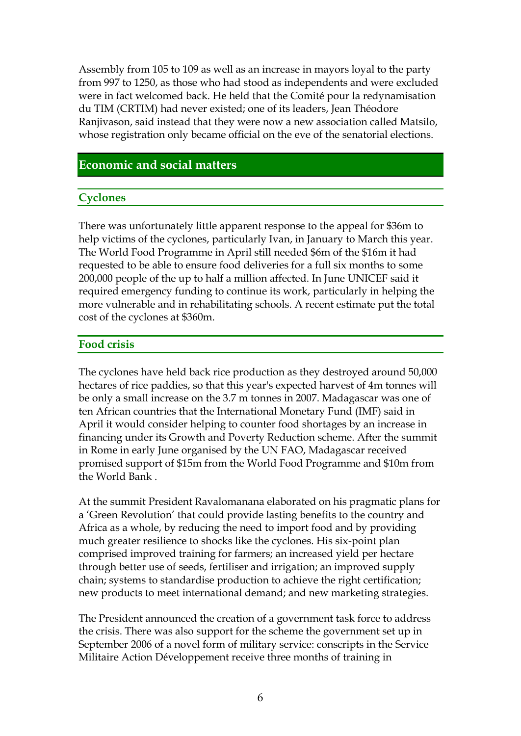Assembly from 105 to 109 as well as an increase in mayors loyal to the party from 997 to 1250, as those who had stood as independents and were excluded were in fact welcomed back. He held that the Comité pour la redynamisation du TIM (CRTIM) had never existed; one of its leaders, Jean Théodore Ranjivason, said instead that they were now a new association called Matsilo, whose registration only became official on the eve of the senatorial elections.

### **Economic and social matters**

#### **Cyclones**

There was unfortunately little apparent response to the appeal for \$36m to help victims of the cyclones, particularly Ivan, in January to March this year. The World Food Programme in April still needed \$6m of the \$16m it had requested to be able to ensure food deliveries for a full six months to some 200,000 people of the up to half a million affected. In June UNICEF said it required emergency funding to continue its work, particularly in helping the more vulnerable and in rehabilitating schools. A recent estimate put the total cost of the cyclones at \$360m.

#### **Food crisis**

The cyclones have held back rice production as they destroyed around 50,000 hectares of rice paddies, so that this year's expected harvest of 4m tonnes will be only a small increase on the 3.7 m tonnes in 2007. Madagascar was one of ten African countries that the International Monetary Fund (IMF) said in April it would consider helping to counter food shortages by an increase in financing under its Growth and Poverty Reduction scheme. After the summit in Rome in early June organised by the UN FAO, Madagascar received promised support of \$15m from the World Food Programme and \$10m from the World Bank .

At the summit President Ravalomanana elaborated on his pragmatic plans for a 'Green Revolution' that could provide lasting benefits to the country and Africa as a whole, by reducing the need to import food and by providing much greater resilience to shocks like the cyclones. His six-point plan comprised improved training for farmers; an increased yield per hectare through better use of seeds, fertiliser and irrigation; an improved supply chain; systems to standardise production to achieve the right certification; new products to meet international demand; and new marketing strategies.

The President announced the creation of a government task force to address the crisis. There was also support for the scheme the government set up in September 2006 of a novel form of military service: conscripts in the Service Militaire Action Développement receive three months of training in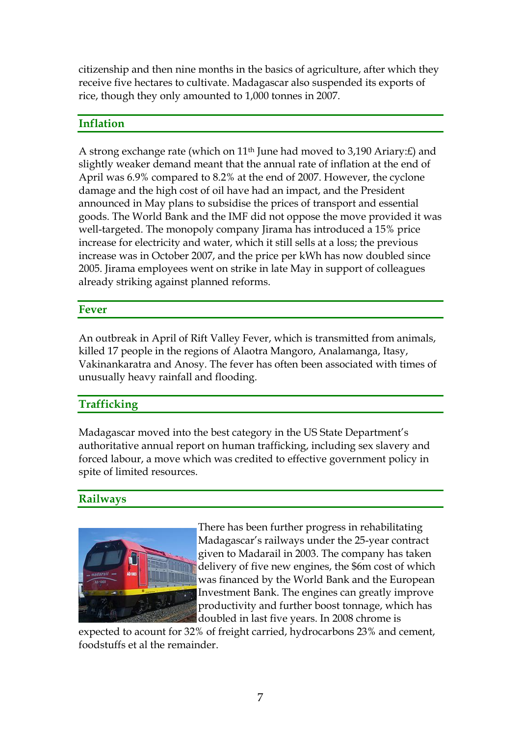citizenship and then nine months in the basics of agriculture, after which they receive five hectares to cultivate. Madagascar also suspended its exports of rice, though they only amounted to 1,000 tonnes in 2007.

## **Inflation**

A strong exchange rate (which on 11th June had moved to 3,190 Ariary:£) and slightly weaker demand meant that the annual rate of inflation at the end of April was 6.9% compared to 8.2% at the end of 2007. However, the cyclone damage and the high cost of oil have had an impact, and the President announced in May plans to subsidise the prices of transport and essential goods. The World Bank and the IMF did not oppose the move provided it was well-targeted. The monopoly company Jirama has introduced a 15% price increase for electricity and water, which it still sells at a loss; the previous increase was in October 2007, and the price per kWh has now doubled since 2005. Jirama employees went on strike in late May in support of colleagues already striking against planned reforms.

### **Fever**

An outbreak in April of Rift Valley Fever, which is transmitted from animals, killed 17 people in the regions of Alaotra Mangoro, Analamanga, Itasy, Vakinankaratra and Anosy. The fever has often been associated with times of unusually heavy rainfall and flooding.

## **Trafficking**

Madagascar moved into the best category in the US State Department's authoritative annual report on human trafficking, including sex slavery and forced labour, a move which was credited to effective government policy in spite of limited resources.

## **Railways**



There has been further progress in rehabilitating Madagascar's railways under the 25-year contract given to Madarail in 2003. The company has taken delivery of five new engines, the \$6m cost of which was financed by the World Bank and the European Investment Bank. The engines can greatly improve productivity and further boost tonnage, which has doubled in last five years. In 2008 chrome is

expected to acount for 32% of freight carried, hydrocarbons 23% and cement, foodstuffs et al the remainder.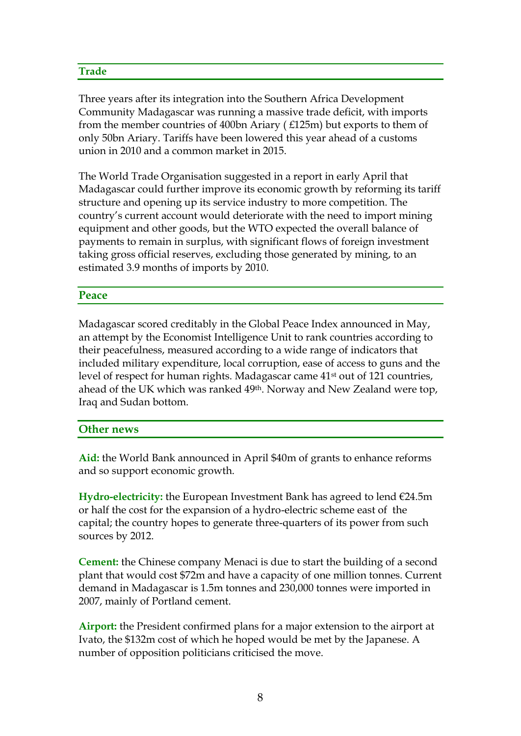#### **Trade**

Three years after its integration into the Southern Africa Development Community Madagascar was running a massive trade deficit, with imports from the member countries of 400bn Ariary ( £125m) but exports to them of only 50bn Ariary. Tariffs have been lowered this year ahead of a customs union in 2010 and a common market in 2015.

The World Trade Organisation suggested in a report in early April that Madagascar could further improve its economic growth by reforming its tariff structure and opening up its service industry to more competition. The country's current account would deteriorate with the need to import mining equipment and other goods, but the WTO expected the overall balance of payments to remain in surplus, with significant flows of foreign investment taking gross official reserves, excluding those generated by mining, to an estimated 3.9 months of imports by 2010.

#### **Peace**

Madagascar scored creditably in the Global Peace Index announced in May, an attempt by the Economist Intelligence Unit to rank countries according to their peacefulness, measured according to a wide range of indicators that included military expenditure, local corruption, ease of access to guns and the level of respect for human rights. Madagascar came 41st out of 121 countries, ahead of the UK which was ranked 49th. Norway and New Zealand were top, Iraq and Sudan bottom.

#### **Other news**

**Aid:** the World Bank announced in April \$40m of grants to enhance reforms and so support economic growth.

**Hydro-electricity:** the European Investment Bank has agreed to lend €24.5m or half the cost for the expansion of a hydro-electric scheme east of the capital; the country hopes to generate three-quarters of its power from such sources by 2012.

**Cement:** the Chinese company Menaci is due to start the building of a second plant that would cost \$72m and have a capacity of one million tonnes. Current demand in Madagascar is 1.5m tonnes and 230,000 tonnes were imported in 2007, mainly of Portland cement.

**Airport:** the President confirmed plans for a major extension to the airport at Ivato, the \$132m cost of which he hoped would be met by the Japanese. A number of opposition politicians criticised the move.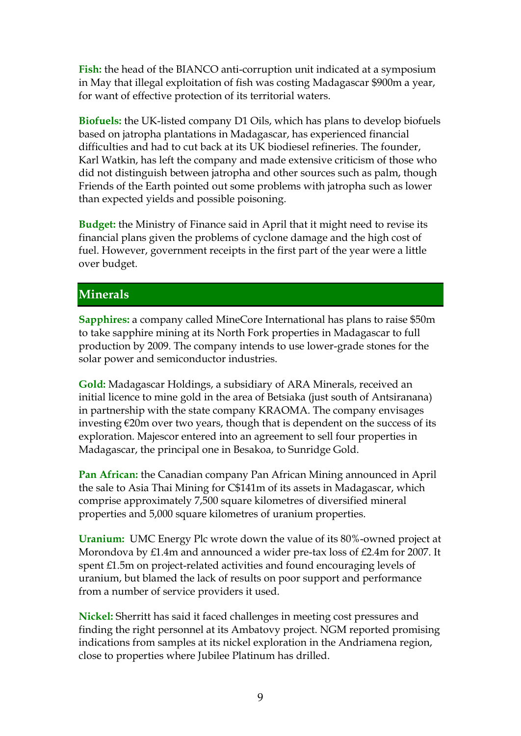**Fish:** the head of the BIANCO anti-corruption unit indicated at a symposium in May that illegal exploitation of fish was costing Madagascar \$900m a year, for want of effective protection of its territorial waters.

**Biofuels:** the UK-listed company D1 Oils, which has plans to develop biofuels based on jatropha plantations in Madagascar, has experienced financial difficulties and had to cut back at its UK biodiesel refineries. The founder, Karl Watkin, has left the company and made extensive criticism of those who did not distinguish between jatropha and other sources such as palm, though Friends of the Earth pointed out some problems with jatropha such as lower than expected yields and possible poisoning.

**Budget:** the Ministry of Finance said in April that it might need to revise its financial plans given the problems of cyclone damage and the high cost of fuel. However, government receipts in the first part of the year were a little over budget.

## **Minerals**

**Sapphires:** a company called MineCore International has plans to raise \$50m to take sapphire mining at its North Fork properties in Madagascar to full production by 2009. The company intends to use lower-grade stones for the solar power and semiconductor industries.

**Gold:** Madagascar Holdings, a subsidiary of ARA Minerals, received an initial licence to mine gold in the area of Betsiaka (just south of Antsiranana) in partnership with the state company KRAOMA. The company envisages investing  $\epsilon$ 20m over two years, though that is dependent on the success of its exploration. Majescor entered into an agreement to sell four properties in Madagascar, the principal one in Besakoa, to Sunridge Gold.

**Pan African:** the Canadian company Pan African Mining announced in April the sale to Asia Thai Mining for C\$141m of its assets in Madagascar, which comprise approximately 7,500 square kilometres of diversified mineral properties and 5,000 square kilometres of uranium properties.

**Uranium:** UMC Energy Plc wrote down the value of its 80%-owned project at Morondova by £1.4m and announced a wider pre-tax loss of £2.4m for 2007. It spent £1.5m on project-related activities and found encouraging levels of uranium, but blamed the lack of results on poor support and performance from a number of service providers it used.

**Nickel:** Sherritt has said it faced challenges in meeting cost pressures and finding the right personnel at its Ambatovy project. NGM reported promising indications from samples at its nickel exploration in the Andriamena region, close to properties where Jubilee Platinum has drilled.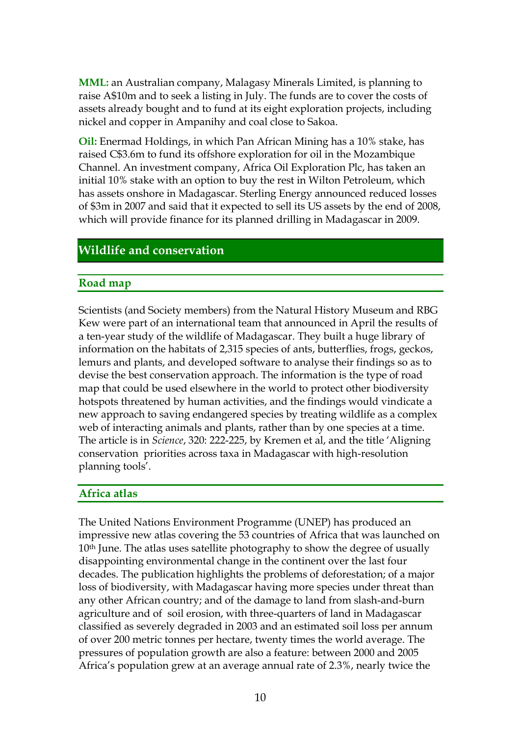**MML:** an Australian company, Malagasy Minerals Limited, is planning to raise A\$10m and to seek a listing in July. The funds are to cover the costs of assets already bought and to fund at its eight exploration projects, including nickel and copper in Ampanihy and coal close to Sakoa.

**Oil:** Enermad Holdings, in which Pan African Mining has a 10% stake, has raised C\$3.6m to fund its offshore exploration for oil in the Mozambique Channel. An investment company, Africa Oil Exploration Plc, has taken an initial 10% stake with an option to buy the rest in Wilton Petroleum, which has assets onshore in Madagascar. Sterling Energy announced reduced losses of \$3m in 2007 and said that it expected to sell its US assets by the end of 2008, which will provide finance for its planned drilling in Madagascar in 2009.

## **Wildlife and conservation**

### **Road map**

Scientists (and Society members) from the Natural History Museum and RBG Kew were part of an international team that announced in April the results of a ten-year study of the wildlife of Madagascar. They built a huge library of information on the habitats of 2,315 species of ants, butterflies, frogs, geckos, lemurs and plants, and developed software to analyse their findings so as to devise the best conservation approach. The information is the type of road map that could be used elsewhere in the world to protect other biodiversity hotspots threatened by human activities, and the findings would vindicate a new approach to saving endangered species by treating wildlife as a complex web of interacting animals and plants, rather than by one species at a time. The article is in *Science*, 320: 222-225, by Kremen et al, and the title 'Aligning conservation priorities across taxa in Madagascar with high-resolution planning tools'.

### **Africa atlas**

The United Nations Environment Programme (UNEP) has produced an impressive new atlas covering the 53 countries of Africa that was launched on 10<sup>th</sup> June. The atlas uses satellite photography to show the degree of usually disappointing environmental change in the continent over the last four decades. The publication highlights the problems of deforestation; of a major loss of biodiversity, with Madagascar having more species under threat than any other African country; and of the damage to land from slash-and-burn agriculture and of soil erosion, with three-quarters of land in Madagascar classified as severely degraded in 2003 and an estimated soil loss per annum of over 200 metric tonnes per hectare, twenty times the world average. The pressures of population growth are also a feature: between 2000 and 2005 Africa's population grew at an average annual rate of 2.3%, nearly twice the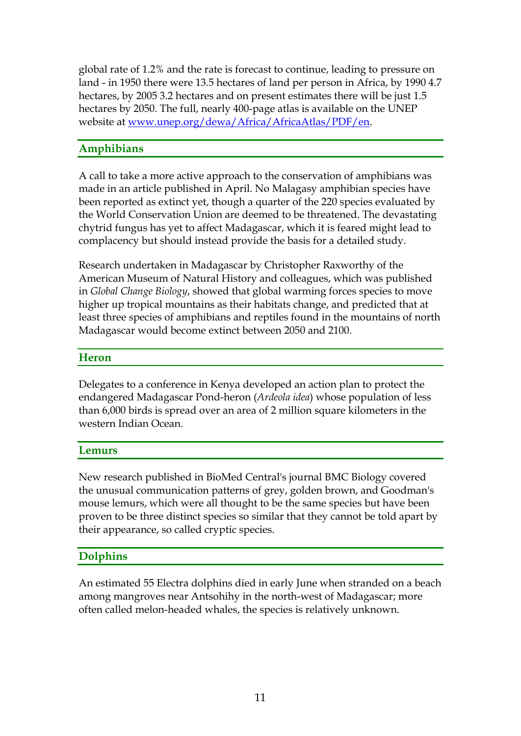global rate of 1.2% and the rate is forecast to continue, leading to pressure on land - in 1950 there were 13.5 hectares of land per person in Africa, by 1990 4.7 hectares, by 2005 3.2 hectares and on present estimates there will be just 1.5 hectares by 2050. The full, nearly 400-page atlas is available on the UNEP website at [www.unep.org/dewa/Africa/AfricaAtlas/PDF/en.](http://www.unep.org/dewa/Africa/AfricaAtlas/PDF/en)

## **Amphibians**

A call to take a more active approach to the conservation of amphibians was made in an article published in April. No Malagasy amphibian species have been reported as extinct yet, though a quarter of the 220 species evaluated by the World Conservation Union are deemed to be threatened. The devastating chytrid fungus has yet to affect Madagascar, which it is feared might lead to complacency but should instead provide the basis for a detailed study.

Research undertaken in Madagascar by Christopher Raxworthy of the American Museum of Natural History and colleagues, which was published in *Global Change Biology*, showed that global warming forces species to move higher up tropical mountains as their habitats change, and predicted that at least three species of amphibians and reptiles found in the mountains of north Madagascar would become extinct between 2050 and 2100.

### **Heron**

Delegates to a conference in Kenya developed an action plan to protect the endangered Madagascar Pond-heron (*Ardeola idea*) whose population of less than 6,000 birds is spread over an area of 2 million square kilometers in the western Indian Ocean.

### **Lemurs**

New research published in BioMed Central's journal BMC Biology covered the unusual communication patterns of grey, golden brown, and Goodman's mouse lemurs, which were all thought to be the same species but have been proven to be three distinct species so similar that they cannot be told apart by their appearance, so called cryptic species.

# **Dolphins**

An estimated 55 Electra dolphins died in early June when stranded on a beach among mangroves near Antsohihy in the north-west of Madagascar; more often called melon-headed whales, the species is relatively unknown.